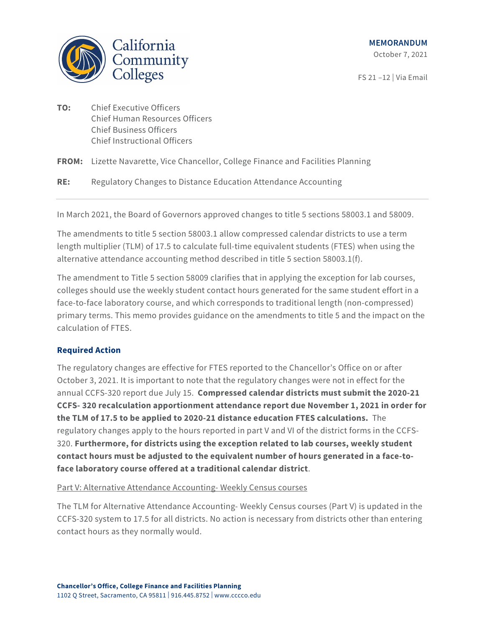

FS 21 –12 | Via Email

**TO:** Chief Executive Officers Chief Human Resources Officers Chief Business Officers Chief Instructional Officers

**FROM:** Lizette Navarette, Vice Chancellor, College Finance and Facilities Planning

**RE:** Regulatory Changes to Distance Education Attendance Accounting

In March 2021, the Board of Governors approved changes to title 5 sections 58003.1 and 58009.

The amendments to title 5 section 58003.1 allow compressed calendar districts to use a term length multiplier (TLM) of 17.5 to calculate full-time equivalent students (FTES) when using the alternative attendance accounting method described in title 5 section 58003.1(f).

The amendment to Title 5 section 58009 clarifies that in applying the exception for lab courses, colleges should use the weekly student contact hours generated for the same student effort in a face-to-face laboratory course, and which corresponds to traditional length (non-compressed) primary terms. This memo provides guidance on the amendments to title 5 and the impact on the calculation of FTES.

# **Required Action**

The regulatory changes are effective for FTES reported to the Chancellor's Office on or after October 3, 2021. It is important to note that the regulatory changes were not in effect for the annual CCFS-320 report due July 15. **Compressed calendar districts must submit the 2020-21 CCFS- 320 recalculation apportionment attendance report due November 1, 2021 in order for the TLM of 17.5 to be applied to 2020-21 distance education FTES calculations.** The regulatory changes apply to the hours reported in part V and VI of the district forms in the CCFS-320. **Furthermore, for districts using the exception related to lab courses, weekly student contact hours must be adjusted to the equivalent number of hours generated in a face-toface laboratory course offered at a traditional calendar district**.

Part V: Alternative Attendance Accounting- Weekly Census courses

The TLM for Alternative Attendance Accounting- Weekly Census courses (Part V) is updated in the CCFS-320 system to 17.5 for all districts. No action is necessary from districts other than entering contact hours as they normally would.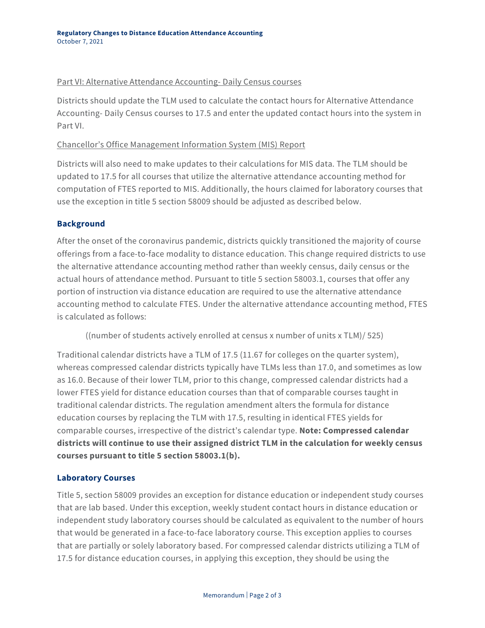#### Part VI: Alternative Attendance Accounting- Daily Census courses

Districts should update the TLM used to calculate the contact hours for Alternative Attendance Accounting- Daily Census courses to 17.5 and enter the updated contact hours into the system in Part VI.

## Chancellor's Office Management Information System (MIS) Report

Districts will also need to make updates to their calculations for MIS data. The TLM should be updated to 17.5 for all courses that utilize the alternative attendance accounting method for computation of FTES reported to MIS. Additionally, the hours claimed for laboratory courses that use the exception in title 5 section 58009 should be adjusted as described below.

## **Background**

After the onset of the coronavirus pandemic, districts quickly transitioned the majority of course offerings from a face-to-face modality to distance education. This change required districts to use the alternative attendance accounting method rather than weekly census, daily census or the actual hours of attendance method. Pursuant to title 5 section 58003.1, courses that offer any portion of instruction via distance education are required to use the alternative attendance accounting method to calculate FTES. Under the alternative attendance accounting method, FTES is calculated as follows:

((number of students actively enrolled at census x number of units x TLM)/ 525)

Traditional calendar districts have a TLM of 17.5 (11.67 for colleges on the quarter system), whereas compressed calendar districts typically have TLMs less than 17.0, and sometimes as low as 16.0. Because of their lower TLM, prior to this change, compressed calendar districts had a lower FTES yield for distance education courses than that of comparable courses taught in traditional calendar districts. The regulation amendment alters the formula for distance education courses by replacing the TLM with 17.5, resulting in identical FTES yields for comparable courses, irrespective of the district's calendar type. **Note: Compressed calendar districts will continue to use their assigned district TLM in the calculation for weekly census courses pursuant to title 5 section 58003.1(b).**

# **Laboratory Courses**

Title 5, section 58009 provides an exception for distance education or independent study courses that are lab based. Under this exception, weekly student contact hours in distance education or independent study laboratory courses should be calculated as equivalent to the number of hours that would be generated in a face-to-face laboratory course. This exception applies to courses that are partially or solely laboratory based. For compressed calendar districts utilizing a TLM of 17.5 for distance education courses, in applying this exception, they should be using the